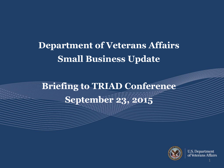## **Department of Veterans Affairs Small Business Update**

**Briefing to TRIAD Conference September 23, 2015**



**U.S. Department** of Veterans Affairs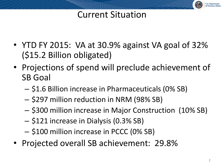### Current Situation

- YTD FY 2015: VA at 30.9% against VA goal of 32% (\$15.2 Billion obligated)
- Projections of spend will preclude achievement of SB Goal
	- \$1.6 Billion increase in Pharmaceuticals (0% SB)
	- \$297 million reduction in NRM (98% SB)
	- \$300 million increase in Major Construction (10% SB)
	- \$121 increase in Dialysis (0.3% SB)
	- \$100 million increase in PCCC (0% SB)
- Projected overall SB achievement: 29.8%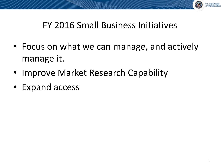

#### FY 2016 Small Business Initiatives

- Focus on what we can manage, and actively manage it.
- Improve Market Research Capability
- Expand access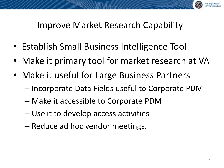

#### Improve Market Research Capability

- Establish Small Business Intelligence Tool
- Make it primary tool for market research at VA
- Make it useful for Large Business Partners
	- Incorporate Data Fields useful to Corporate PDM
	- Make it accessible to Corporate PDM
	- Use it to develop access activities
	- Reduce ad hoc vendor meetings.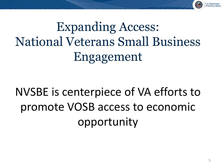

Expanding Access: National Veterans Small Business Engagement

# NVSBE is centerpiece of VA efforts to promote VOSB access to economic opportunity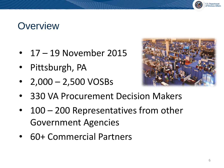### **Overview**

- 17 19 November 2015
- Pittsburgh, PA
- $2,000 2,500 \text{ VOSBs}$



- 330 VA Procurement Decision Makers
- 100 200 Representatives from other Government Agencies
- 60+ Commercial Partners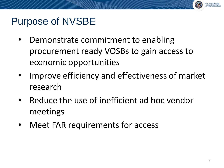### Purpose of NVSBE

- Demonstrate commitment to enabling procurement ready VOSBs to gain access to economic opportunities
- Improve efficiency and effectiveness of market research
- Reduce the use of inefficient ad hoc vendor meetings
- Meet FAR requirements for access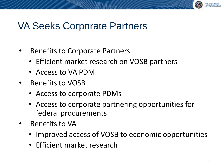#### VA Seeks Corporate Partners

- Benefits to Corporate Partners
	- Efficient market research on VOSB partners
	- Access to VA PDM
- Benefits to VOSB
	- Access to corporate PDMs
	- Access to corporate partnering opportunities for federal procurements
- Benefits to VA
	- Improved access of VOSB to economic opportunities
	- Efficient market research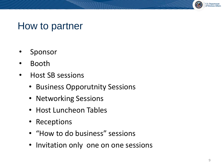#### U.S. Department<br>of Veterans Affairs

#### How to partner

- **Sponsor**
- Booth
- Host SB sessions
	- Business Opporutnity Sessions
	- Networking Sessions
	- Host Luncheon Tables
	- Receptions
	- "How to do business" sessions
	- Invitation only one on one sessions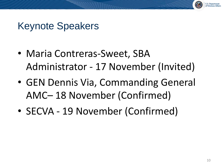## Keynote Speakers

- Maria Contreras-Sweet, SBA Administrator - 17 November (Invited)
- GEN Dennis Via, Commanding General AMC– 18 November (Confirmed)
- SECVA 19 November (Confirmed)